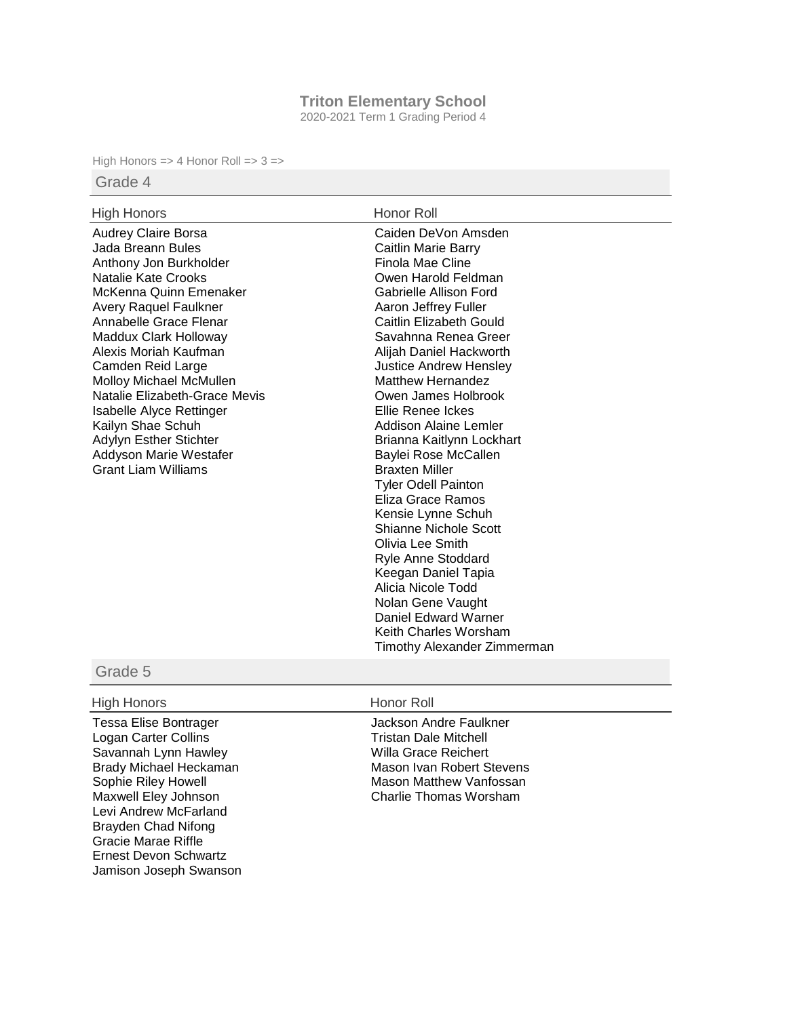# **Triton Elementary School**

2020-2021 Term 1 Grading Period 4

High Honors => 4 Honor Roll =>  $3 =$ >

# Grade 4

### High Honors **Honor Roll**

Audrey Claire Borsa Jada Breann Bules Anthony Jon Burkholder Natalie Kate Crooks McKenna Quinn Emenaker Avery Raquel Faulkner Annabelle Grace Flenar Maddux Clark Holloway Alexis Moriah Kaufman Camden Reid Large Molloy Michael McMullen Natalie Elizabeth-Grace Mevis Isabelle Alyce Rettinger Kailyn Shae Schuh Adylyn Esther Stichter Addyson Marie Westafer Grant Liam Williams

Caiden DeVon Amsden Caitlin Marie Barry Finola Mae Cline Owen Harold Feldman Gabrielle Allison Ford Aaron Jeffrey Fuller Caitlin Elizabeth Gould Savahnna Renea Greer Alijah Daniel Hackworth Justice Andrew Hensley Matthew Hernandez Owen James Holbrook Ellie Renee Ickes Addison Alaine Lemler Brianna Kaitlynn Lockhart Baylei Rose McCallen Braxten Miller Tyler Odell Painton Eliza Grace Ramos Kensie Lynne Schuh Shianne Nichole Scott Olivia Lee Smith Ryle Anne Stoddard Keegan Daniel Tapia Alicia Nicole Todd Nolan Gene Vaught Daniel Edward Warner Keith Charles Worsham Timothy Alexander Zimmerman

# Grade 5

# High Honors **Honor Roll**

Tessa Elise Bontrager Logan Carter Collins Savannah Lynn Hawley Brady Michael Heckaman Sophie Riley Howell Maxwell Eley Johnson Levi Andrew McFarland Brayden Chad Nifong Gracie Marae Riffle Ernest Devon Schwartz Jamison Joseph Swanson

Jackson Andre Faulkner Tristan Dale Mitchell Willa Grace Reichert Mason Ivan Robert Stevens Mason Matthew Vanfossan Charlie Thomas Worsham